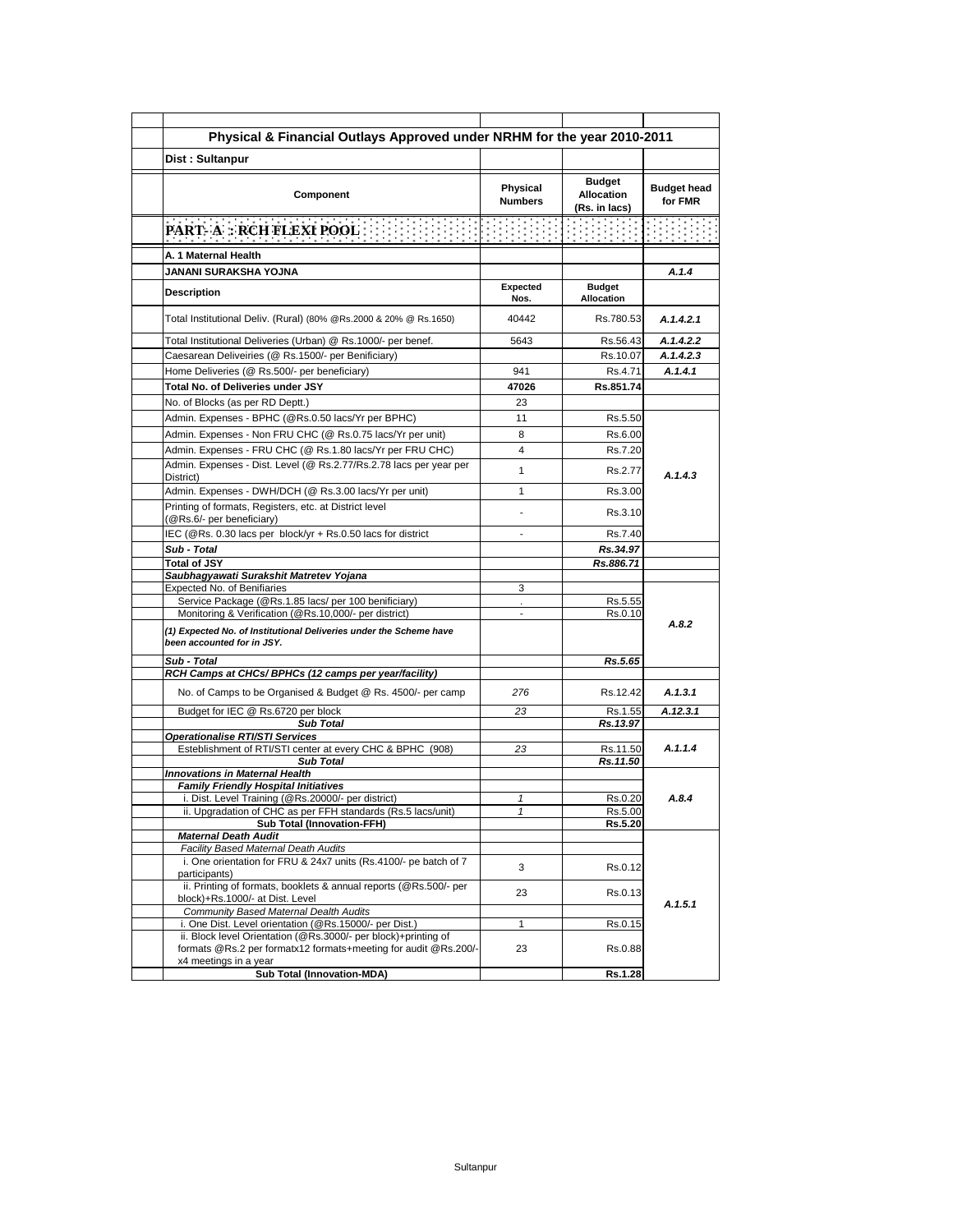| Physical & Financial Outlays Approved under NRHM for the year 2010-2011                                                                                    |                            |                                                     |                               |
|------------------------------------------------------------------------------------------------------------------------------------------------------------|----------------------------|-----------------------------------------------------|-------------------------------|
| Dist: Sultanpur                                                                                                                                            |                            |                                                     |                               |
| Component                                                                                                                                                  | Physical<br><b>Numbers</b> | <b>Budget</b><br><b>Allocation</b><br>(Rs. in lacs) | <b>Budget head</b><br>for FMR |
|                                                                                                                                                            |                            |                                                     |                               |
| A. 1 Maternal Health                                                                                                                                       |                            |                                                     |                               |
| JANANI SURAKSHA YOJNA                                                                                                                                      |                            |                                                     | A.1.4                         |
| <b>Description</b>                                                                                                                                         | <b>Expected</b><br>Nos.    | <b>Budget</b><br>Allocation                         |                               |
| Total Institutional Deliv. (Rural) (80% @Rs.2000 & 20% @ Rs.1650)                                                                                          | 40442                      | Rs.780.53                                           | A.1.4.2.1                     |
| Total Institutional Deliveries (Urban) @ Rs.1000/- per benef.                                                                                              | 5643                       | Rs.56.43                                            | A.1.4.2.2                     |
| Caesarean Deliveiries (@ Rs.1500/- per Benificiary)                                                                                                        |                            | Rs.10.07                                            | A.1.4.2.3                     |
| Home Deliveries (@ Rs.500/- per beneficiary)                                                                                                               | 941                        | Rs.4.71                                             | A.1.4.1                       |
| Total No. of Deliveries under JSY                                                                                                                          | 47026                      | Rs.851.74                                           |                               |
| No. of Blocks (as per RD Deptt.)                                                                                                                           | 23                         |                                                     |                               |
| Admin. Expenses - BPHC (@Rs.0.50 lacs/Yr per BPHC)                                                                                                         | 11                         | Rs.5.50                                             |                               |
| Admin. Expenses - Non FRU CHC (@ Rs.0.75 lacs/Yr per unit)                                                                                                 | 8                          | Rs.6.00                                             |                               |
| Admin. Expenses - FRU CHC (@ Rs.1.80 lacs/Yr per FRU CHC)                                                                                                  | 4                          | Rs.7.20                                             |                               |
| Admin. Expenses - Dist. Level (@ Rs.2.77/Rs.2.78 lacs per year per<br>District)                                                                            | 1                          | Rs.2.77                                             | A.1.4.3                       |
| Admin. Expenses - DWH/DCH (@ Rs.3.00 lacs/Yr per unit)                                                                                                     | 1                          | Rs.3.00                                             |                               |
| Printing of formats, Registers, etc. at District level<br>(@Rs.6/- per beneficiary)                                                                        |                            | Rs.3.10                                             |                               |
| IEC (@Rs. 0.30 lacs per block/yr + Rs.0.50 lacs for district                                                                                               | $\blacksquare$             | Rs.7.40                                             |                               |
| Sub - Total                                                                                                                                                |                            | Rs.34.97                                            |                               |
| <b>Total of JSY</b>                                                                                                                                        |                            | Rs.886.71                                           |                               |
| Saubhagyawati Surakshit Matretev Yojana                                                                                                                    |                            |                                                     |                               |
| <b>Expected No. of Benifiaries</b><br>Service Package (@Rs.1.85 lacs/ per 100 benificiary)                                                                 | 3<br>ä,                    | Rs.5.55                                             |                               |
| Monitoring & Verification (@Rs.10,000/- per district)                                                                                                      | $\overline{a}$             | Rs.0.10                                             |                               |
| (1) Expected No. of Institutional Deliveries under the Scheme have<br>been accounted for in JSY.                                                           |                            |                                                     | A.8.2                         |
| Sub - Total                                                                                                                                                |                            | Rs.5.65                                             |                               |
| RCH Camps at CHCs/ BPHCs (12 camps per year/facility)                                                                                                      |                            |                                                     |                               |
| No. of Camps to be Organised & Budget @ Rs. 4500/- per camp<br>Budget for IEC @ Rs.6720 per block                                                          | 276<br>23                  | Rs.12.42<br>Rs.1.55                                 | A.1.3.1<br>A.12.3.1           |
| <b>Sub Total</b>                                                                                                                                           |                            | Rs.13.97                                            |                               |
| <b>Operationalise RTI/STI Services</b>                                                                                                                     |                            |                                                     |                               |
| Esteblishment of RTI/STI center at every CHC & BPHC (908)<br><b>Sub Total</b>                                                                              | 23                         | Rs.11.50<br>Rs.11.50                                | A.1.1.4                       |
| <b>Innovations in Maternal Health</b>                                                                                                                      |                            |                                                     |                               |
| <b>Family Friendly Hospital Initiatives</b><br>i. Dist. Level Training (@Rs.20000/- per district)                                                          | 1                          | Rs.0.20                                             | A.8.4                         |
| ii. Upgradation of CHC as per FFH standards (RS.5 lacs/unit)                                                                                               |                            | RS.5.00                                             |                               |
| <b>Sub Total (Innovation-FFH)</b>                                                                                                                          |                            | Rs.5.20                                             |                               |
| <b>Maternal Death Audit</b>                                                                                                                                |                            |                                                     |                               |
| Facility Based Maternal Death Audits<br>i. One orientation for FRU & 24x7 units (Rs.4100/- pe batch of 7                                                   |                            |                                                     | A.1.5.1                       |
| participants)<br>ii. Printing of formats, booklets & annual reports (@Rs.500/- per                                                                         | 3                          | Rs.0.12                                             |                               |
| block)+Rs.1000/- at Dist. Level<br>Community Based Maternal Dealth Audits                                                                                  | 23                         | Rs.0.13                                             |                               |
| i. One Dist. Level orientation (@Rs.15000/- per Dist.)                                                                                                     | 1                          | Rs.0.15                                             |                               |
| ii. Block level Orientation (@Rs.3000/- per block)+printing of<br>formats @Rs.2 per formatx12 formats+meeting for audit @Rs.200/-<br>x4 meetings in a year | 23                         | Rs.0.88                                             |                               |
| <b>Sub Total (Innovation-MDA)</b>                                                                                                                          |                            | Rs.1.28                                             |                               |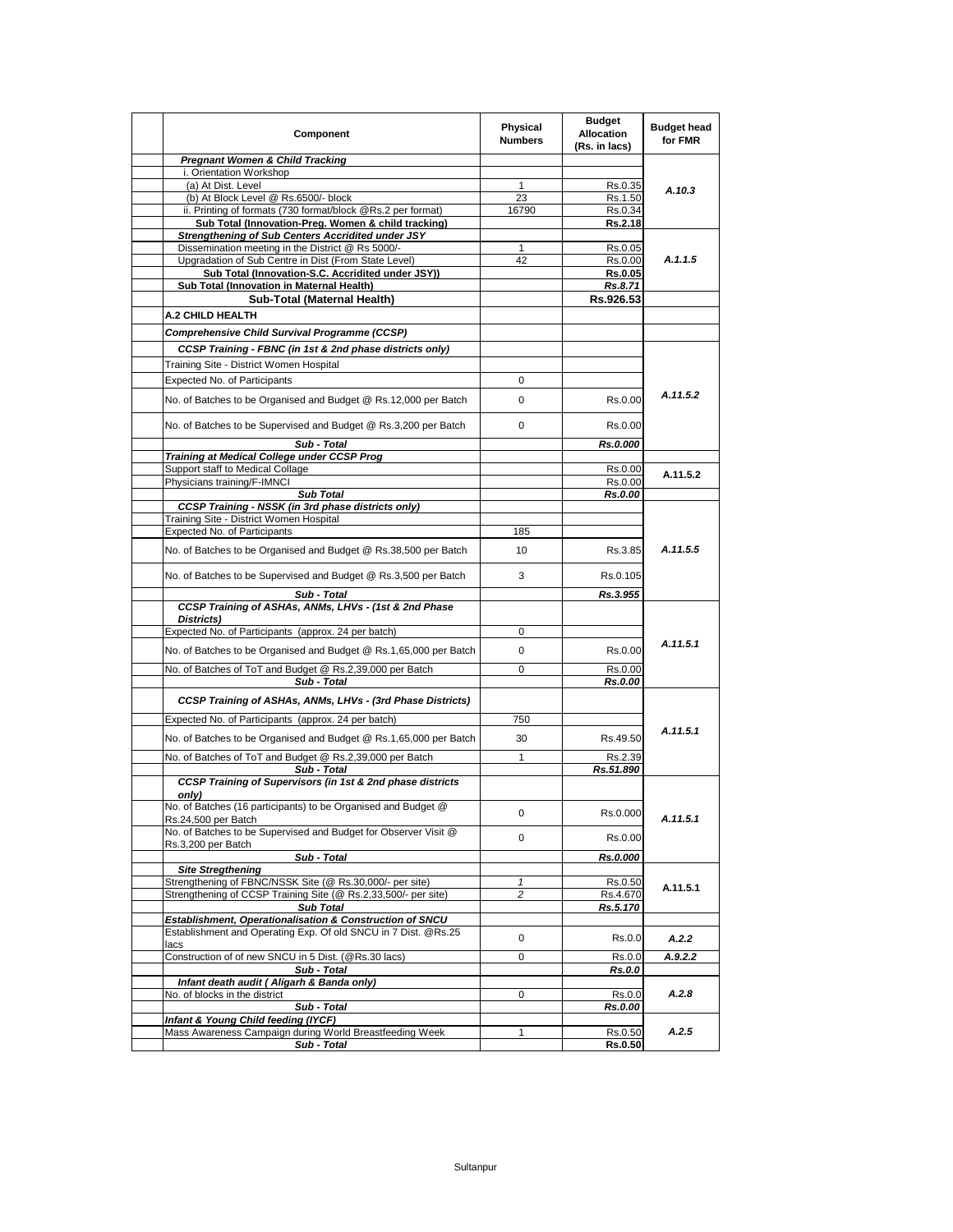| Component                                                                                                 | Physical<br><b>Numbers</b> | <b>Budget</b><br><b>Allocation</b><br>(Rs. in lacs) | <b>Budget head</b><br>for FMR |
|-----------------------------------------------------------------------------------------------------------|----------------------------|-----------------------------------------------------|-------------------------------|
| <b>Pregnant Women &amp; Child Tracking</b>                                                                |                            |                                                     |                               |
| i. Orientation Workshop                                                                                   |                            |                                                     |                               |
| (a) At Dist. Level                                                                                        | 1                          | Rs.0.35                                             | A.10.3                        |
| (b) At Block Level @ Rs.6500/- block                                                                      | 23                         | Rs.1.50                                             |                               |
| ii. Printing of formats (730 format/block @Rs.2 per format)                                               | 16790                      | Rs.0.34                                             |                               |
| Sub Total (Innovation-Preg. Women & child tracking)                                                       |                            | <b>Rs.2.18</b>                                      |                               |
| Strengthening of Sub Centers Accridited under JSY                                                         | $\mathbf{1}$               |                                                     |                               |
| Dissemination meeting in the District @ Rs 5000/-                                                         | 42                         | Rs.0.05                                             | A.1.1.5                       |
| Upgradation of Sub Centre in Dist (From State Level)<br>Sub Total (Innovation-S.C. Accridited under JSY)) |                            | Rs.0.00<br>Rs.0.05                                  |                               |
| Sub Total (Innovation in Maternal Health)                                                                 |                            | Rs.8.71                                             |                               |
| Sub-Total (Maternal Health)                                                                               |                            | Rs.926.53                                           |                               |
|                                                                                                           |                            |                                                     |                               |
| A.2 CHILD HEALTH                                                                                          |                            |                                                     |                               |
| Comprehensive Child Survival Programme (CCSP)                                                             |                            |                                                     |                               |
| CCSP Training - FBNC (in 1st & 2nd phase districts only)                                                  |                            |                                                     |                               |
| Training Site - District Women Hospital                                                                   |                            |                                                     |                               |
|                                                                                                           | 0                          |                                                     |                               |
| Expected No. of Participants                                                                              |                            |                                                     |                               |
| No. of Batches to be Organised and Budget @ Rs.12,000 per Batch                                           | 0                          | Rs.0.00                                             | A.11.5.2                      |
| No. of Batches to be Supervised and Budget @ Rs.3,200 per Batch                                           | 0                          | Rs.0.00                                             |                               |
| Sub - Total                                                                                               |                            | Rs.0.000                                            |                               |
| Training at Medical College under CCSP Prog                                                               |                            |                                                     |                               |
| Support staff to Medical Collage                                                                          |                            | Rs.0.00                                             | A.11.5.2                      |
| Physicians training/F-IMNCI                                                                               |                            | Rs.0.00                                             |                               |
| <b>Sub Total</b>                                                                                          |                            | Rs.0.00                                             |                               |
| <b>CCSP Training - NSSK (in 3rd phase districts only)</b>                                                 |                            |                                                     |                               |
| Training Site - District Women Hospital                                                                   |                            |                                                     |                               |
| <b>Expected No. of Participants</b>                                                                       | 185                        |                                                     |                               |
| No. of Batches to be Organised and Budget @ Rs.38,500 per Batch                                           | 10                         | Rs.3.85                                             | A.11.5.5                      |
| No. of Batches to be Supervised and Budget @ Rs.3,500 per Batch                                           | 3                          | Rs.0.105                                            |                               |
| Sub - Total                                                                                               |                            | Rs.3.955                                            |                               |
| CCSP Training of ASHAs, ANMs, LHVs - (1st & 2nd Phase                                                     |                            |                                                     |                               |
| Districts)                                                                                                |                            |                                                     |                               |
| Expected No. of Participants (approx. 24 per batch)                                                       | 0                          |                                                     |                               |
| No. of Batches to be Organised and Budget @ Rs.1,65,000 per Batch                                         | 0                          | Rs.0.00                                             | A.11.5.1                      |
| No. of Batches of ToT and Budget @ Rs.2,39,000 per Batch                                                  | 0                          | Rs.0.00                                             |                               |
| Sub - Total                                                                                               |                            | Rs.0.00                                             |                               |
| CCSP Training of ASHAs, ANMs, LHVs - (3rd Phase Districts)                                                |                            |                                                     |                               |
| Expected No. of Participants (approx. 24 per batch)                                                       | 750                        |                                                     |                               |
| No. of Batches to be Organised and Budget @ Rs.1,65,000 per Batch                                         | 30                         | Rs.49.50                                            | A.11.5.1                      |
| No. of Batches of ToT and Budget @ Rs.2,39,000 per Batch                                                  | $\mathbf{1}$               | Rs.2.39                                             |                               |
| Sub - Total                                                                                               |                            | Rs.51.890                                           |                               |
| CCSP Training of Supervisors (in 1st & 2nd phase districts<br>only)                                       |                            |                                                     |                               |
| No. of Batches (16 participants) to be Organised and Budget @<br>Rs.24,500 per Batch                      | 0                          | Rs.0.000                                            | A.11.5.1                      |
| No. of Batches to be Supervised and Budget for Observer Visit @                                           | 0                          | Rs.0.00                                             |                               |
| Rs.3,200 per Batch<br>Sub - Total                                                                         |                            | Rs.0.000                                            |                               |
| <b>Site Stregthening</b>                                                                                  |                            |                                                     |                               |
| Strengthening of FBNC/NSSK Site (@ Rs.30,000/- per site)                                                  | 1                          | Rs.0.50                                             |                               |
| Strengthening of CCSP Training Site (@ Rs.2,33,500/- per site)                                            | 2                          | Rs.4.670                                            | A.11.5.1                      |
| <b>Sub Total</b>                                                                                          |                            | Rs.5.170                                            |                               |
| Establishment, Operationalisation & Construction of SNCU                                                  |                            |                                                     |                               |
| Establishment and Operating Exp. Of old SNCU in 7 Dist. @Rs.25                                            | 0                          | Rs.0.0                                              | A.2.2                         |
| lacs                                                                                                      |                            |                                                     |                               |
| Construction of of new SNCU in 5 Dist. (@Rs.30 lacs)                                                      | 0                          | Rs.0.0                                              | A.9.2.2                       |
| Sub - Total<br>Infant death audit ( Aligarh & Banda only)                                                 |                            | <b>Rs.0.0</b>                                       |                               |
| No. of blocks in the district                                                                             | 0                          | Rs.0.0                                              | A.2.8                         |
| Sub - Total                                                                                               |                            | Rs.0.00                                             |                               |
| Infant & Young Child feeding (IYCF)                                                                       |                            |                                                     |                               |
| Mass Awareness Campaign during World Breastfeeding Week                                                   | 1                          | Rs.0.50                                             | A.2.5                         |
| Sub - Total                                                                                               |                            | <b>Rs.0.50</b>                                      |                               |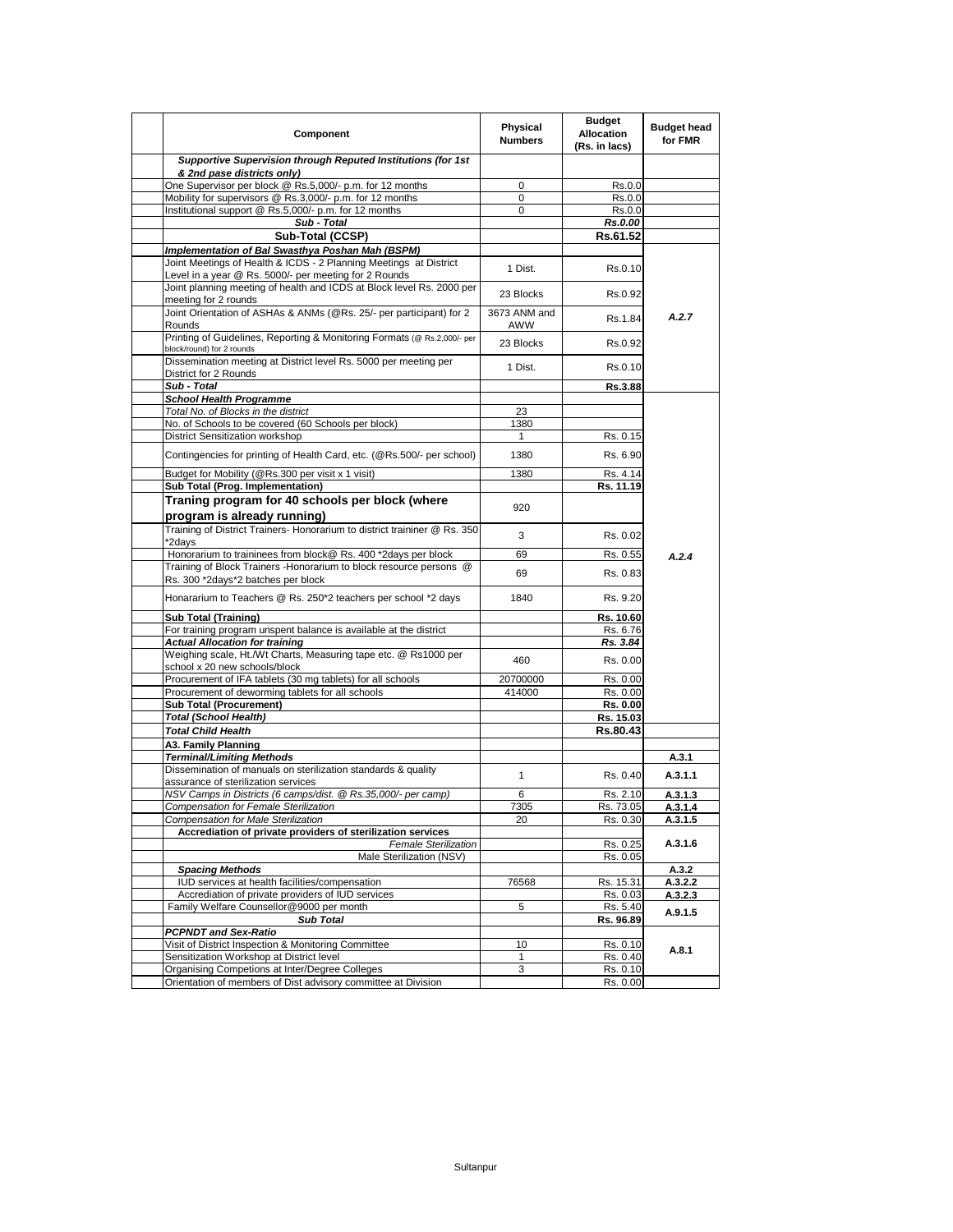| Component                                                                                                                  | Physical<br><b>Numbers</b> | <b>Budget</b><br><b>Allocation</b><br>(Rs. in lacs) | <b>Budget head</b><br>for FMR |
|----------------------------------------------------------------------------------------------------------------------------|----------------------------|-----------------------------------------------------|-------------------------------|
| Supportive Supervision through Reputed Institutions (for 1st<br>& 2nd pase districts only)                                 |                            |                                                     |                               |
| One Supervisor per block @ Rs.5,000/- p.m. for 12 months                                                                   | 0                          | Rs.0.0                                              |                               |
| Mobility for supervisors @ Rs.3,000/- p.m. for 12 months                                                                   | 0                          | Rs.0.0                                              |                               |
| Institutional support @ Rs.5,000/- p.m. for 12 months                                                                      | 0                          | Rs.0.0                                              |                               |
| Sub - Total                                                                                                                |                            | Rs.0.00                                             |                               |
| Sub-Total (CCSP)                                                                                                           |                            | Rs.61.52                                            |                               |
| Implementation of Bal Swasthya Poshan Mah (BSPM)                                                                           |                            |                                                     |                               |
| Joint Meetings of Health & ICDS - 2 Planning Meetings at District<br>Level in a year @ Rs. 5000/- per meeting for 2 Rounds | 1 Dist.                    | Rs.0.10                                             |                               |
| Joint planning meeting of health and ICDS at Block level Rs. 2000 per<br>meeting for 2 rounds                              | 23 Blocks                  | Rs.0.92                                             |                               |
| Joint Orientation of ASHAs & ANMs (@Rs. 25/- per participant) for 2<br>Rounds                                              | 3673 ANM and<br>AWW        | Rs.1.84                                             | A.2.7                         |
| Printing of Guidelines, Reporting & Monitoring Formats (@ Rs.2,000/- per<br>block/round) for 2 rounds                      | 23 Blocks                  | Rs.0.92                                             |                               |
| Dissemination meeting at District level Rs. 5000 per meeting per<br>District for 2 Rounds                                  | 1 Dist.                    | Rs.0.10                                             |                               |
| Sub - Total                                                                                                                |                            | <b>Rs.3.88</b>                                      |                               |
| <b>School Health Programme</b>                                                                                             |                            |                                                     |                               |
| Total No. of Blocks in the district                                                                                        | 23                         |                                                     |                               |
| No. of Schools to be covered (60 Schools per block)                                                                        | 1380                       |                                                     |                               |
| District Sensitization workshop                                                                                            | 1                          | Rs. 0.15                                            |                               |
| Contingencies for printing of Health Card, etc. (@Rs.500/- per school)                                                     | 1380                       | Rs. 6.90                                            |                               |
| Budget for Mobility (@Rs.300 per visit x 1 visit)                                                                          | 1380                       | Rs. 4.14                                            |                               |
| Sub Total (Prog. Implementation)                                                                                           |                            | Rs. 11.19                                           |                               |
| Traning program for 40 schools per block (where<br>program is already running)                                             | 920                        |                                                     |                               |
| Training of District Trainers- Honorarium to district traininer @ Rs. 350<br>*2days                                        | 3                          | Rs. 0.02                                            |                               |
| Honorarium to traininees from block@ Rs. 400 *2days per block                                                              | 69                         | Rs. 0.55                                            | A.2.4                         |
| Training of Block Trainers - Honorarium to block resource persons @<br>Rs. 300 *2days*2 batches per block                  | 69                         | Rs. 0.83                                            |                               |
| Honararium to Teachers @ Rs. 250*2 teachers per school *2 days                                                             | 1840                       | Rs. 9.20                                            |                               |
| <b>Sub Total (Training)</b>                                                                                                |                            | Rs. 10.60                                           |                               |
| For training program unspent balance is available at the district                                                          |                            | Rs. 6.76                                            |                               |
| <b>Actual Allocation for training</b>                                                                                      |                            | Rs. 3.84                                            |                               |
| Weighing scale, Ht./Wt Charts, Measuring tape etc. @ Rs1000 per<br>school x 20 new schools/block                           | 460                        | Rs. 0.00                                            |                               |
| Procurement of IFA tablets (30 mg tablets) for all schools                                                                 | 20700000                   | Rs. 0.00                                            |                               |
| Procurement of deworming tablets for all schools                                                                           | 414000                     | Rs. 0.00                                            |                               |
| <b>Sub Total (Procurement)</b>                                                                                             |                            | Rs. 0.00                                            |                               |
| <b>Total (School Health)</b>                                                                                               |                            | Rs. 15.03                                           |                               |
| <b>Total Child Health</b>                                                                                                  |                            | Rs.80.43                                            |                               |
| A3. Family Planning                                                                                                        |                            |                                                     |                               |
| <b>Terminal/Limiting Methods</b>                                                                                           |                            |                                                     | A.3.1                         |
| Dissemination of manuals on sterilization standards & quality<br>assurance of sterilization services                       | 1                          | Rs. 0.40                                            | A.3.1.1                       |
| NSV Camps in Districts (6 camps/dist. @ Rs.35,000/- per camp)                                                              | 6                          | Rs. 2.10                                            | A.3.1.3                       |
| Compensation for Female Sterilization                                                                                      | 7305                       | Rs. 73.05                                           | A.3.1.                        |
| Compensation for Male Sterilization                                                                                        | 20                         | Rs. 0.30                                            | A.3.1.5                       |
| Accrediation of private providers of sterilization services                                                                |                            |                                                     |                               |
| <b>Female Sterilization</b><br>Male Sterilization (NSV)                                                                    |                            | Rs. 0.25<br>Rs. 0.05                                | A.3.1.6                       |
| <b>Spacing Methods</b>                                                                                                     |                            |                                                     | A.3.2                         |
| IUD services at health facilities/compensation                                                                             | 76568                      | Rs. 15.31                                           | A.3.2.2                       |
| Accrediation of private providers of IUD services                                                                          |                            | Rs. 0.03                                            | A.3.2.3                       |
| Family Welfare Counsellor@9000 per month                                                                                   | 5                          | Rs. 5.40                                            |                               |
| <b>Sub Total</b>                                                                                                           |                            | Rs. 96.89                                           | A.9.1.5                       |
| <b>PCPNDT and Sex-Ratio</b>                                                                                                |                            |                                                     |                               |
| Visit of District Inspection & Monitoring Committee                                                                        | 10                         | Rs. 0.10                                            |                               |
| Sensitization Workshop at District level                                                                                   | 1                          | Rs. 0.40                                            | A.8.1                         |
| Organising Competions at Inter/Degree Colleges                                                                             | 3                          | Rs. 0.10                                            |                               |
| Orientation of members of Dist advisory committee at Division                                                              |                            | Rs. 0.00                                            |                               |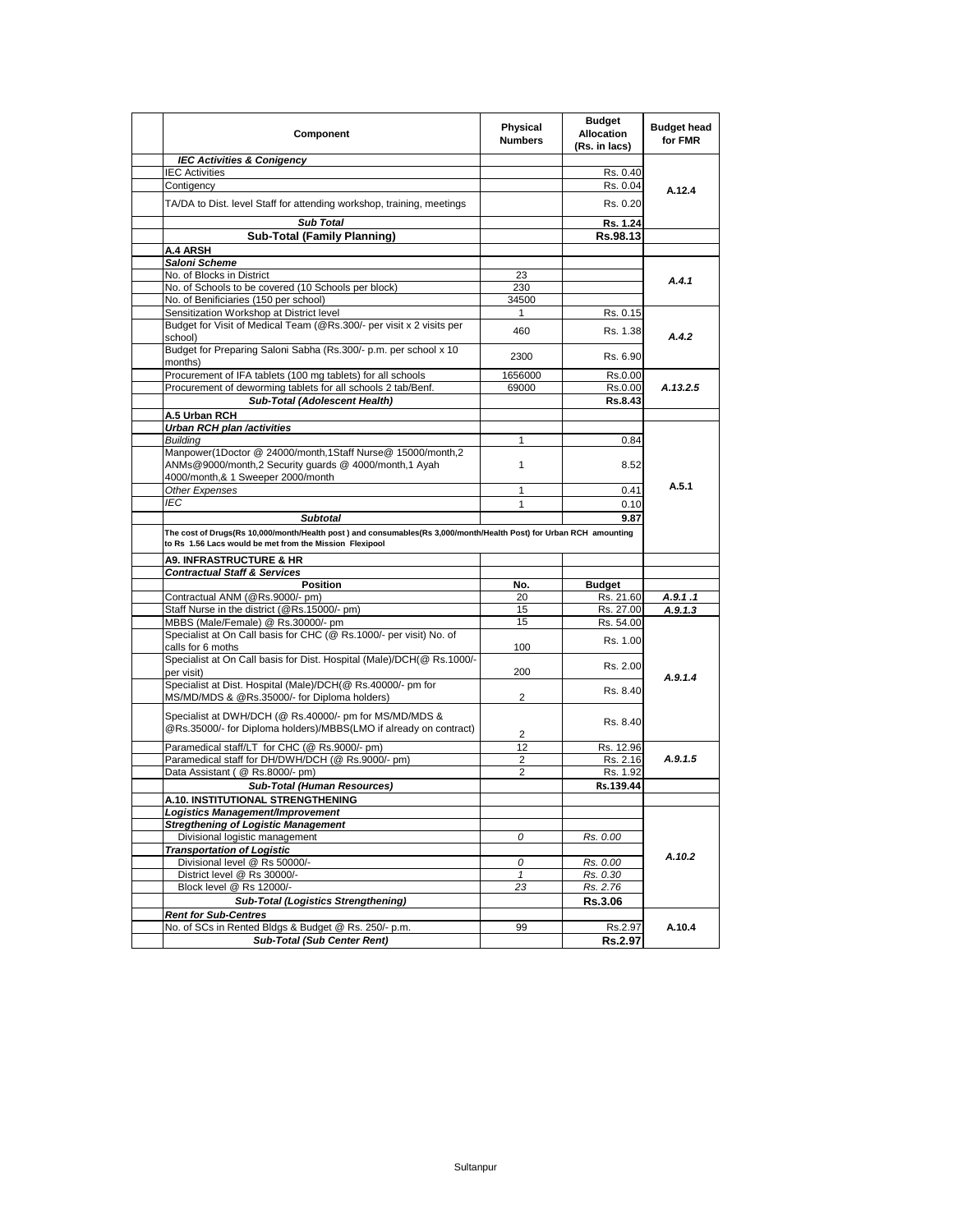| Component                                                                                                                                                                     | Physical<br><b>Numbers</b> | <b>Budget</b><br><b>Allocation</b><br>(Rs. in lacs) | <b>Budget head</b><br>for FMR |
|-------------------------------------------------------------------------------------------------------------------------------------------------------------------------------|----------------------------|-----------------------------------------------------|-------------------------------|
| <b>IEC Activities &amp; Conigency</b>                                                                                                                                         |                            |                                                     |                               |
| <b>IEC Activities</b>                                                                                                                                                         |                            | Rs. 0.40                                            |                               |
| Contigency                                                                                                                                                                    |                            | Rs. 0.04                                            | A.12.4                        |
| TA/DA to Dist. level Staff for attending workshop, training, meetings                                                                                                         |                            | Rs. 0.20                                            |                               |
| <b>Sub Total</b>                                                                                                                                                              |                            | Rs. 1.24                                            |                               |
| <b>Sub-Total (Family Planning)</b>                                                                                                                                            |                            | Rs.98.13                                            |                               |
| A.4 ARSH                                                                                                                                                                      |                            |                                                     |                               |
| Saloni Scheme                                                                                                                                                                 |                            |                                                     |                               |
| No. of Blocks in District                                                                                                                                                     | 23                         |                                                     | A.4.1                         |
| No. of Schools to be covered (10 Schools per block)                                                                                                                           | 230                        |                                                     |                               |
| No. of Benificiaries (150 per school)                                                                                                                                         | 34500                      |                                                     |                               |
| Sensitization Workshop at District level                                                                                                                                      | 1                          | Rs. 0.15                                            |                               |
| Budget for Visit of Medical Team (@Rs.300/- per visit x 2 visits per<br>school)                                                                                               | 460                        | Rs. 1.38                                            | A.4.2                         |
| Budget for Preparing Saloni Sabha (Rs.300/- p.m. per school x 10<br>months)                                                                                                   | 2300                       | Rs. 6.90                                            |                               |
| Procurement of IFA tablets (100 mg tablets) for all schools                                                                                                                   | 1656000                    | Rs.0.00                                             |                               |
| Procurement of deworming tablets for all schools 2 tab/Benf.                                                                                                                  | 69000                      | Rs.0.00                                             | A.13.2.5                      |
| Sub-Total (Adolescent Health)                                                                                                                                                 |                            | <b>Rs.8.43</b>                                      |                               |
| A.5 Urban RCH                                                                                                                                                                 |                            |                                                     |                               |
| <b>Urban RCH plan /activities</b>                                                                                                                                             |                            |                                                     |                               |
| <b>Building</b>                                                                                                                                                               | 1                          | 0.84                                                |                               |
| Manpower(1Doctor @ 24000/month,1Staff Nurse@ 15000/month,2                                                                                                                    |                            |                                                     |                               |
| ANMs@9000/month,2 Security guards @ 4000/month,1 Ayah<br>4000/month,& 1 Sweeper 2000/month                                                                                    | 1                          | 8.52                                                |                               |
| Other Expenses                                                                                                                                                                | 1                          | 0.41                                                | A.5.1                         |
| <b>IEC</b>                                                                                                                                                                    |                            |                                                     |                               |
|                                                                                                                                                                               | 1                          | 0.10                                                |                               |
| <b>Subtotal</b>                                                                                                                                                               |                            | 9.87                                                |                               |
| The cost of Drugs(Rs 10,000/month/Health post) and consumables(Rs 3,000/month/Health Post) for Urban RCH amounting<br>to Rs 1.56 Lacs would be met from the Mission Flexipool |                            |                                                     |                               |
| <b>A9. INFRASTRUCTURE &amp; HR</b>                                                                                                                                            |                            |                                                     |                               |
| <b>Contractual Staff &amp; Services</b>                                                                                                                                       |                            |                                                     |                               |
| <b>Position</b>                                                                                                                                                               | No.                        | <b>Budget</b>                                       |                               |
| Contractual ANM (@Rs.9000/- pm)                                                                                                                                               | 20                         | Rs. 21.60                                           | A.9.1.1                       |
| Staff Nurse in the district (@Rs.15000/- pm)                                                                                                                                  | 15                         | Rs. 27.00                                           | A.9.1.3                       |
| MBBS (Male/Female) @ Rs.30000/- pm                                                                                                                                            | 15                         | Rs. 54.00                                           |                               |
| Specialist at On Call basis for CHC (@ Rs.1000/- per visit) No. of<br>calls for 6 moths                                                                                       | 100                        | Rs. 1.00                                            |                               |
| Specialist at On Call basis for Dist. Hospital (Male)/DCH(@ Rs.1000/-<br>per visit)                                                                                           | 200                        | Rs. 2.00                                            |                               |
| Specialist at Dist. Hospital (Male)/DCH(@ Rs.40000/- pm for                                                                                                                   |                            |                                                     | A.9.1.4                       |
| MS/MD/MDS & @Rs.35000/- for Diploma holders)                                                                                                                                  | $\overline{2}$             | Rs. 8.40                                            |                               |
| Specialist at DWH/DCH (@ Rs.40000/- pm for MS/MD/MDS &<br>@Rs.35000/- for Diploma holders)/MBBS(LMO if already on contract)                                                   | 2                          | Rs. 8.40                                            |                               |
| Paramedical staff/LT for CHC (@ Rs.9000/- pm)                                                                                                                                 | 12                         | Rs. 12.96                                           |                               |
| Paramedical staff for DH/DWH/DCH (@ Rs.9000/- pm)                                                                                                                             | $\overline{2}$             | Rs. 2.16                                            | A.9.1.5                       |
| Data Assistant (@ Rs.8000/- pm)                                                                                                                                               | 2                          | Rs. 1.92                                            |                               |
| <b>Sub-Total (Human Resources)</b>                                                                                                                                            |                            | Rs.139.44                                           |                               |
| A.10. INSTITUTIONAL STRENGTHENING                                                                                                                                             |                            |                                                     |                               |
| Logistics Management/Improvement                                                                                                                                              |                            |                                                     |                               |
| <b>Stregthening of Logistic Management</b>                                                                                                                                    |                            |                                                     |                               |
| Divisional logistic management                                                                                                                                                | 0                          | Rs. 0.00                                            |                               |
| <b>Transportation of Logistic</b>                                                                                                                                             |                            |                                                     |                               |
| Divisional level @ Rs 50000/-                                                                                                                                                 | 0                          | Rs. 0.00                                            | A.10.2                        |
| District level @ Rs 30000/-                                                                                                                                                   | 1                          | Rs. 0.30                                            |                               |
| Block level @ Rs 12000/-                                                                                                                                                      | 23                         | Rs. 2.76                                            |                               |
| <b>Sub-Total (Logistics Strengthening)</b>                                                                                                                                    |                            | Rs.3.06                                             |                               |
| <b>Rent for Sub-Centres</b>                                                                                                                                                   |                            |                                                     |                               |
| No. of SCs in Rented Bldgs & Budget @ Rs. 250/- p.m.                                                                                                                          | 99                         | Rs.2.97                                             | A.10.4                        |
| <b>Sub-Total (Sub Center Rent)</b>                                                                                                                                            |                            | Rs.2.97                                             |                               |
|                                                                                                                                                                               |                            |                                                     |                               |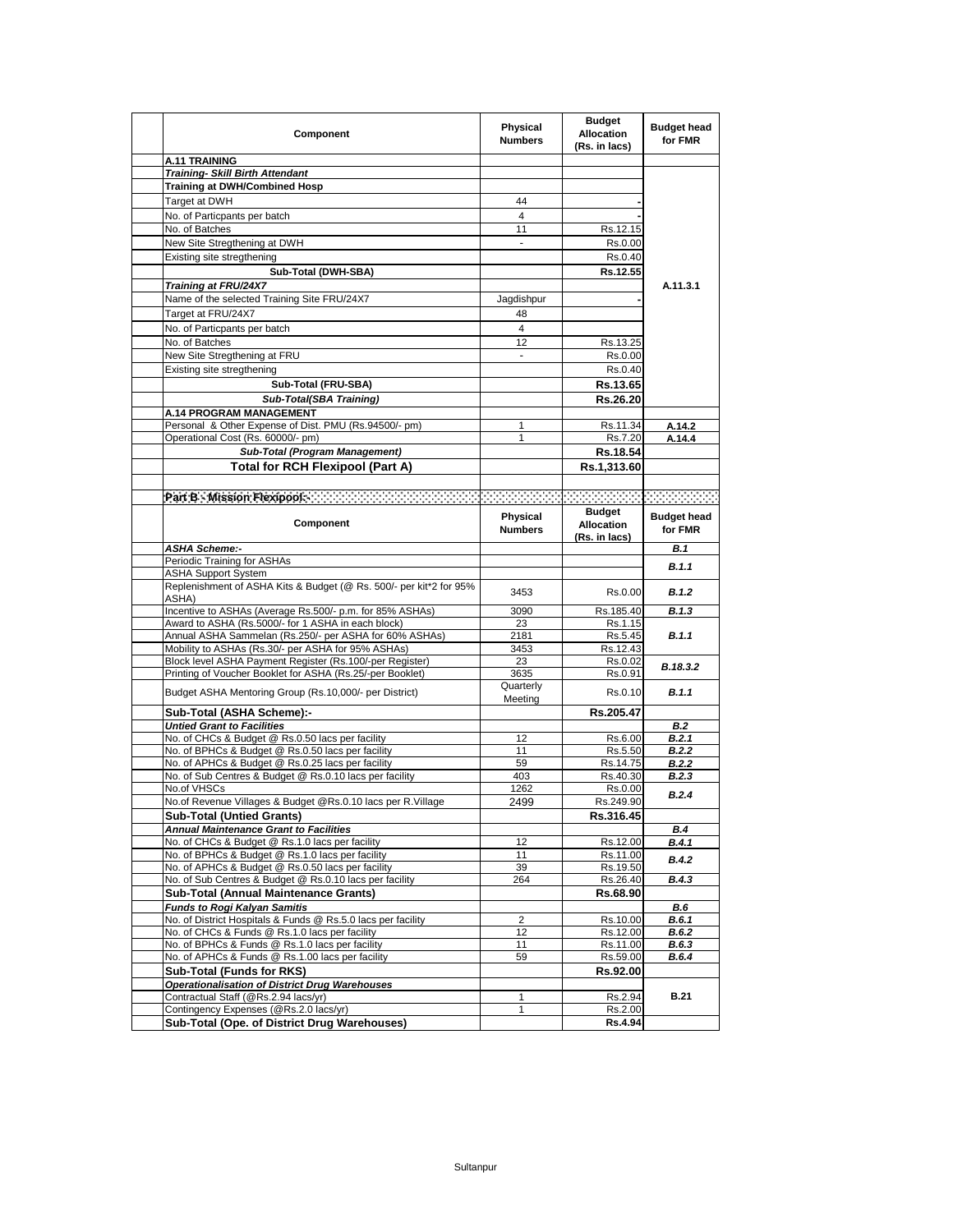| Component                                                                                        | Physical<br><b>Numbers</b> | <b>Budget</b><br><b>Allocation</b><br>(Rs. in lacs) | <b>Budget head</b><br>for FMR |
|--------------------------------------------------------------------------------------------------|----------------------------|-----------------------------------------------------|-------------------------------|
| <b>A.11 TRAINING</b>                                                                             |                            |                                                     |                               |
| <b>Training- Skill Birth Attendant</b>                                                           |                            |                                                     |                               |
| <b>Training at DWH/Combined Hosp</b>                                                             |                            |                                                     |                               |
| Target at DWH                                                                                    | 44                         |                                                     |                               |
| No. of Particpants per batch                                                                     | $\overline{4}$             |                                                     |                               |
| No. of Batches                                                                                   | 11                         | Rs.12.15                                            |                               |
| New Site Stregthening at DWH                                                                     |                            | Rs.0.00                                             |                               |
| Existing site stregthening                                                                       |                            | Rs.0.40                                             |                               |
| Sub-Total (DWH-SBA)                                                                              |                            | Rs.12.55                                            |                               |
| Training at FRU/24X7                                                                             |                            |                                                     | A.11.3.1                      |
| Name of the selected Training Site FRU/24X7                                                      | Jaqdishpur                 |                                                     |                               |
| Target at FRU/24X7                                                                               | 48                         |                                                     |                               |
| No. of Particpants per batch                                                                     | $\overline{4}$             |                                                     |                               |
| No. of Batches                                                                                   | 12                         | Rs.13.25                                            |                               |
| New Site Stregthening at FRU                                                                     | $\overline{\phantom{a}}$   | Rs.0.00                                             |                               |
| Existing site stregthening                                                                       |                            | Rs.0.40                                             |                               |
| Sub-Total (FRU-SBA)                                                                              |                            | Rs.13.65                                            |                               |
| Sub-Total(SBA Training)                                                                          |                            | Rs.26.20                                            |                               |
| <b>A.14 PROGRAM MANAGEMENT</b>                                                                   |                            |                                                     |                               |
| Personal & Other Expense of Dist. PMU (Rs.94500/- pm)                                            | 1                          | Rs.11.34                                            | A.14.2                        |
| Operational Cost (Rs. 60000/- pm)                                                                | 1                          | Rs.7.20                                             | A.14.4                        |
| Sub-Total (Program Management)                                                                   |                            | Rs.18.54                                            |                               |
| Total for RCH Flexipool (Part A)                                                                 |                            | Rs.1,313.60                                         |                               |
|                                                                                                  |                            |                                                     |                               |
|                                                                                                  |                            |                                                     |                               |
| Component                                                                                        | Physical<br><b>Numbers</b> | <b>Budget</b><br><b>Allocation</b><br>(Rs. in lacs) | <b>Budget head</b><br>for FMR |
| <b>ASHA Scheme:-</b>                                                                             |                            |                                                     | B.1                           |
| Periodic Training for ASHAs                                                                      |                            |                                                     | B.1.1                         |
| <b>ASHA Support System</b>                                                                       |                            |                                                     |                               |
| Replenishment of ASHA Kits & Budget (@ Rs. 500/- per kit*2 for 95%<br>ASHA)                      | 3453                       | Rs.0.00                                             | B.1.2                         |
| Incentive to ASHAs (Average Rs.500/- p.m. for 85% ASHAs)                                         | 3090                       | Rs.185.40                                           | B.1.3                         |
| Award to ASHA (Rs.5000/- for 1 ASHA in each block)                                               | 23                         | Rs.1.15                                             |                               |
| Annual ASHA Sammelan (Rs.250/- per ASHA for 60% ASHAs)                                           | 2181                       | Rs.5.45                                             | B.1.1                         |
| Mobility to ASHAs (Rs.30/- per ASHA for 95% ASHAs)                                               | 3453                       | Rs.12.43                                            |                               |
| Block level ASHA Payment Register (Rs.100/-per Register)                                         | 23                         | Rs.0.02                                             | B.18.3.2                      |
| Printing of Voucher Booklet for ASHA (Rs.25/-per Booklet)                                        | 3635                       | Rs.0.91                                             |                               |
| Budget ASHA Mentoring Group (Rs.10,000/- per District)                                           | Quarterly<br>Meeting       | Rs.0.10                                             | B.1.1                         |
| Sub-Total (ASHA Scheme):-                                                                        |                            | Rs.205.47                                           |                               |
| <b>Untied Grant to Facilities</b>                                                                |                            |                                                     | B.2                           |
| No. of CHCs & Budget @ Rs.0.50 lacs per facility                                                 | 12                         | Rs.6.00                                             | B.2.1                         |
| No. of BPHCs & Budget @ Rs.0.50 lacs per facility                                                | 11                         | Rs.5.50                                             | B.2.2                         |
| No. of APHCs & Budget @ Rs.0.25 lacs per facility                                                | 59                         | Rs.14.75                                            | <b>B.2.2</b>                  |
| No. of Sub Centres & Budget @ Rs.0.10 lacs per facility                                          | 403                        | Rs.40.30                                            | B.2.3                         |
| No.of VHSCs                                                                                      | 1262                       | Rs.0.00                                             | B.2.4                         |
| No.of Revenue Villages & Budget @Rs.0.10 lacs per R.Village                                      | 2499                       | Rs.249.90                                           |                               |
| <b>Sub-Total (Untied Grants)</b>                                                                 |                            | Rs.316.45                                           |                               |
| <b>Annual Maintenance Grant to Facilities</b><br>No. of CHCs & Budget @ Rs.1.0 lacs per facility | 12                         | Rs.12.00                                            | <b>B.4</b><br>B.4.1           |
| No. of BPHCs & Budget @ Rs.1.0 lacs per facility                                                 | 11                         | Rs.11.00                                            |                               |
| No. of APHCs & Budget @ Rs.0.50 lacs per facility                                                | 39                         | Rs.19.50                                            | <b>B.4.2</b>                  |
| No. of Sub Centres & Budget @ Rs.0.10 lacs per facility                                          | 264                        | Rs.26.40                                            | B.4.3                         |
| <b>Sub-Total (Annual Maintenance Grants)</b>                                                     |                            | Rs.68.90                                            |                               |
| <b>Funds to Rogi Kalyan Samitis</b>                                                              |                            |                                                     | <b>B.6</b>                    |
| No. of District Hospitals & Funds @ Rs.5.0 lacs per facility                                     | 2                          | Rs.10.00                                            | <b>B.6.1</b>                  |
| No. of CHCs & Funds @ Rs.1.0 lacs per facility                                                   | 12                         | Rs.12.00                                            | B.6.2                         |
| No. of BPHCs & Funds @ Rs.1.0 lacs per facility                                                  | 11                         | Rs.11.00                                            | B.6.3                         |
| No. of APHCs & Funds @ Rs.1.00 lacs per facility                                                 | 59                         | Rs.59.00                                            | B.6.4                         |
| Sub-Total (Funds for RKS)                                                                        |                            | Rs.92.00                                            |                               |
| <b>Operationalisation of District Drug Warehouses</b>                                            |                            |                                                     | <b>B.21</b>                   |
| Contractual Staff (@Rs.2.94 lacs/yr)<br>Contingency Expenses (@Rs.2.0 lacs/yr)                   | 1<br>$\mathbf{1}$          | Rs.2.94<br>Rs.2.00                                  |                               |
| Sub-Total (Ope. of District Drug Warehouses)                                                     |                            | Rs.4.94                                             |                               |
|                                                                                                  |                            |                                                     |                               |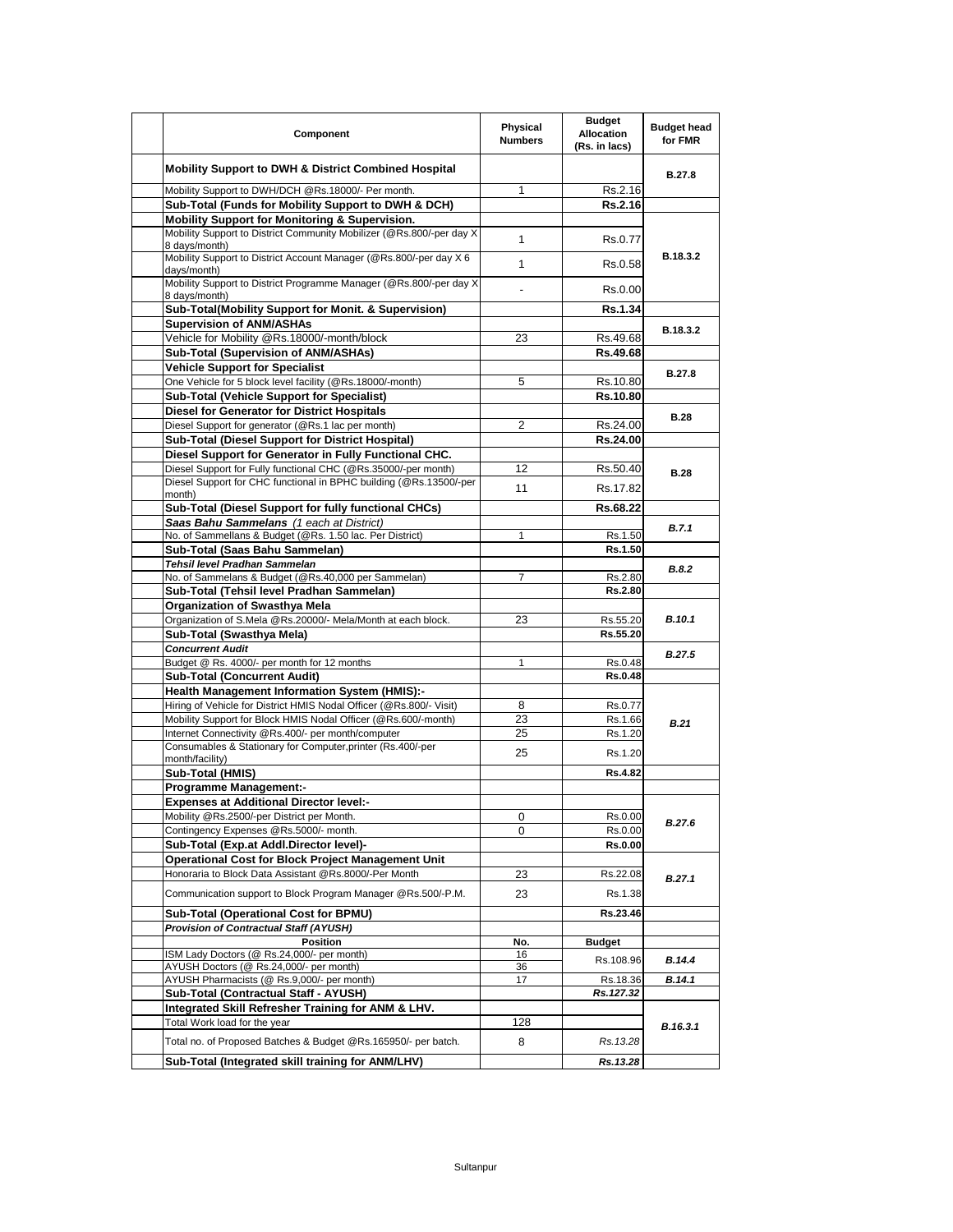| Component                                                                                            | Physical<br><b>Numbers</b> | <b>Budget</b><br><b>Allocation</b><br>(Rs. in lacs) | <b>Budget head</b><br>for FMR |
|------------------------------------------------------------------------------------------------------|----------------------------|-----------------------------------------------------|-------------------------------|
| <b>Mobility Support to DWH &amp; District Combined Hospital</b>                                      |                            |                                                     | B.27.8                        |
| Mobility Support to DWH/DCH @Rs.18000/- Per month.                                                   | 1                          | Rs.2.16                                             |                               |
| Sub-Total (Funds for Mobility Support to DWH & DCH)                                                  |                            | Rs.2.16                                             |                               |
| Mobility Support for Monitoring & Supervision.                                                       |                            |                                                     |                               |
| Mobility Support to District Community Mobilizer (@Rs.800/-per day X<br>8 days/month)                | $\mathbf{1}$               | Rs.0.77                                             |                               |
| Mobility Support to District Account Manager (@Rs.800/-per day X 6<br>days/month)                    | $\mathbf{1}$               | Rs.0.58                                             | B.18.3.2                      |
| Mobility Support to District Programme Manager (@Rs.800/-per day X<br>8 days/month)                  |                            | Rs.0.00                                             |                               |
| Sub-Total(Mobility Support for Monit. & Supervision)                                                 |                            | Rs.1.34                                             |                               |
| <b>Supervision of ANM/ASHAs</b>                                                                      |                            |                                                     |                               |
| Vehicle for Mobility @Rs.18000/-month/block                                                          | 23                         | Rs.49.68                                            | B.18.3.2                      |
| Sub-Total (Supervision of ANM/ASHAs)                                                                 |                            | Rs.49.68                                            |                               |
| <b>Vehicle Support for Specialist</b>                                                                |                            |                                                     |                               |
| One Vehicle for 5 block level facility (@Rs.18000/-month)                                            | 5                          | Rs.10.80                                            | B.27.8                        |
| <b>Sub-Total (Vehicle Support for Specialist)</b>                                                    |                            | Rs.10.80                                            |                               |
| <b>Diesel for Generator for District Hospitals</b>                                                   |                            |                                                     |                               |
| Diesel Support for generator (@Rs.1 lac per month)                                                   | $\overline{2}$             | Rs.24.00                                            | <b>B.28</b>                   |
| Sub-Total (Diesel Support for District Hospital)                                                     |                            | Rs.24.00                                            |                               |
| Diesel Support for Generator in Fully Functional CHC.                                                |                            |                                                     |                               |
| Diesel Support for Fully functional CHC (@Rs.35000/-per month)                                       | 12                         | Rs 50.40                                            |                               |
| Diesel Support for CHC functional in BPHC building (@Rs.13500/-per                                   | 11                         | Rs. 17.82                                           | <b>B.28</b>                   |
| month)                                                                                               |                            |                                                     |                               |
| Sub-Total (Diesel Support for fully functional CHCs)                                                 |                            | Rs.68.22                                            |                               |
| Saas Bahu Sammelans (1 each at District)<br>No. of Sammellans & Budget (@Rs. 1.50 lac. Per District) | $\mathbf{1}$               |                                                     | B.7.1                         |
| Sub-Total (Saas Bahu Sammelan)                                                                       |                            | Rs.1.50<br>Rs.1.50                                  |                               |
| Tehsil level Pradhan Sammelan                                                                        |                            |                                                     |                               |
| No. of Sammelans & Budget (@Rs.40,000 per Sammelan)                                                  | 7                          | Rs.2.80                                             | B.8.2                         |
| Sub-Total (Tehsil level Pradhan Sammelan)                                                            |                            | Rs.2.80                                             |                               |
| Organization of Swasthya Mela                                                                        |                            |                                                     |                               |
| Organization of S.Mela @Rs.20000/- Mela/Month at each block.                                         | 23                         | Rs.55.20                                            | <b>B.10.1</b>                 |
| Sub-Total (Swasthya Mela)                                                                            |                            | Rs.55.20                                            |                               |
| <b>Concurrent Audit</b>                                                                              |                            |                                                     |                               |
| Budget @ Rs. 4000/- per month for 12 months                                                          | 1                          | Rs.0.48                                             | <b>B.27.5</b>                 |
| <b>Sub-Total (Concurrent Audit)</b>                                                                  |                            | <b>Rs.0.48</b>                                      |                               |
| <b>Health Management Information System (HMIS):-</b>                                                 |                            |                                                     |                               |
| Hiring of Vehicle for District HMIS Nodal Officer (@Rs.800/- Visit)                                  | 8                          | Rs.0.77                                             |                               |
| Mobility Support for Block HMIS Nodal Officer (@Rs.600/-month)                                       | 23                         | Rs.1.66                                             |                               |
| Internet Connectivity @Rs.400/- per month/computer                                                   | 25                         | Rs.1.20                                             | B.21                          |
| Consumables & Stationary for Computer, printer (Rs.400/-per                                          |                            |                                                     |                               |
| month/facility)                                                                                      | 25                         | Rs.1.20                                             |                               |
| Sub-Total (HMIS)                                                                                     |                            | <b>Rs.4.82</b>                                      |                               |
| <b>Programme Management:-</b>                                                                        |                            |                                                     |                               |
| <b>Expenses at Additional Director level:-</b>                                                       |                            |                                                     |                               |
| Mobility @Rs.2500/-per District per Month.                                                           | 0                          | Rs.0.00                                             | B.27.6                        |
| Contingency Expenses @Rs.5000/- month.                                                               | 0                          | Rs.0.00                                             |                               |
| Sub-Total (Exp.at Addl.Director level)-                                                              |                            | Rs.0.00                                             |                               |
| <b>Operational Cost for Block Project Management Unit</b>                                            |                            |                                                     |                               |
| Honoraria to Block Data Assistant @Rs.8000/-Per Month                                                | 23                         | Rs.22.08                                            | B.27.1                        |
| Communication support to Block Program Manager @Rs.500/-P.M.                                         | 23                         | Rs.1.38                                             |                               |
| Sub-Total (Operational Cost for BPMU)                                                                |                            | Rs.23.46                                            |                               |
| <b>Provision of Contractual Staff (AYUSH)</b>                                                        |                            |                                                     |                               |
| Position                                                                                             | No.                        | <b>Budget</b>                                       |                               |
| ISM Lady Doctors (@ Rs.24,000/- per month)                                                           | 16                         | Rs.108.96                                           | B.14.4                        |
| AYUSH Doctors (@ Rs.24,000/- per month)<br>AYUSH Pharmacists (@ Rs.9,000/- per month)                | 36<br>17                   | Rs.18.36                                            | B.14.1                        |
| Sub-Total (Contractual Staff - AYUSH)                                                                |                            | Rs.127.32                                           |                               |
| Integrated Skill Refresher Training for ANM & LHV.                                                   |                            |                                                     |                               |
| Total Work load for the year                                                                         | 128                        |                                                     |                               |
| Total no. of Proposed Batches & Budget @Rs.165950/- per batch.                                       | 8                          | Rs.13.28                                            | B.16.3.1                      |
| Sub-Total (Integrated skill training for ANM/LHV)                                                    |                            | Rs.13.28                                            |                               |
|                                                                                                      |                            |                                                     |                               |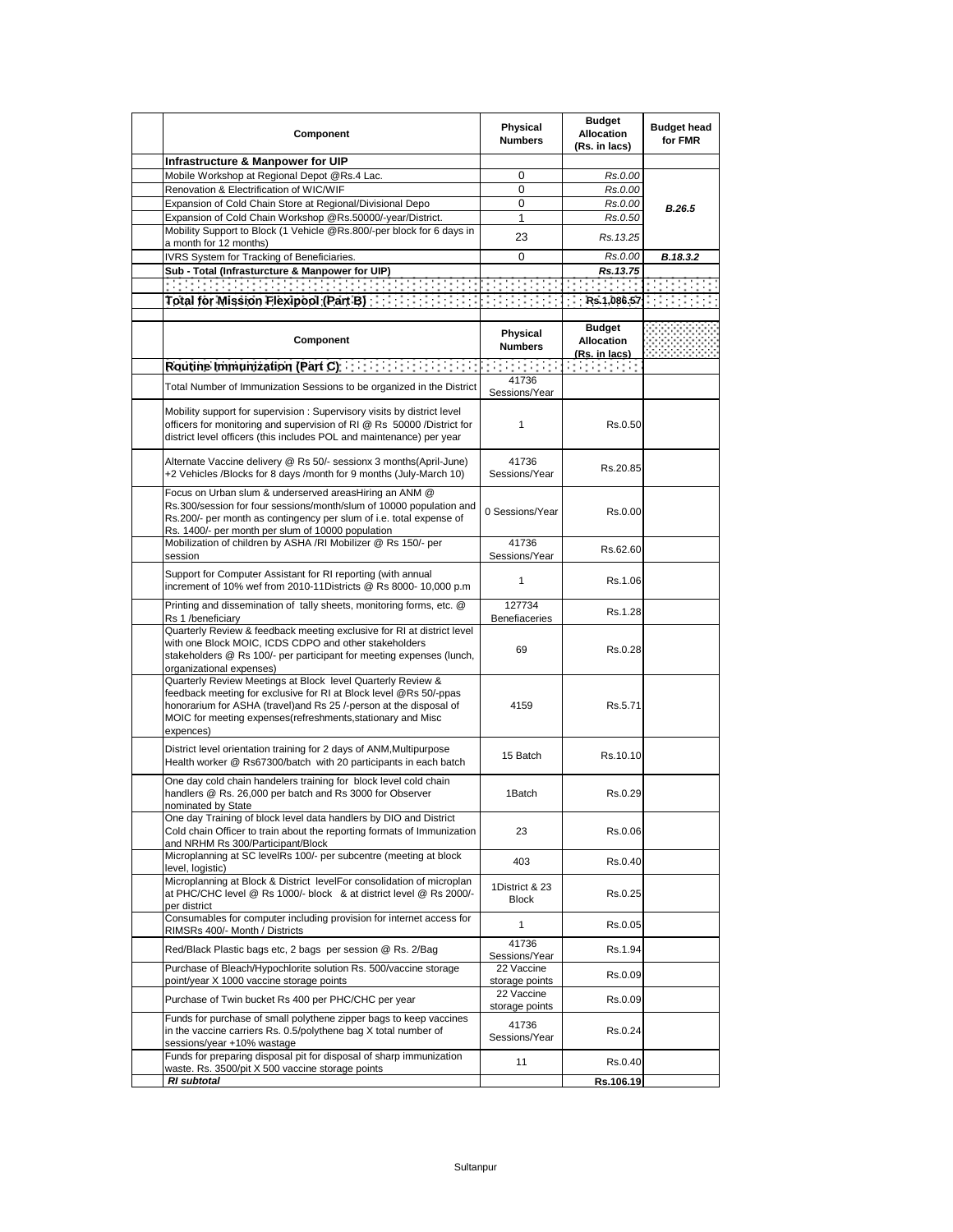| Component                                                                                                                                                                                                                                                                          | Physical<br><b>Numbers</b>     | <b>Budget</b><br><b>Allocation</b><br>(Rs. in lacs) | <b>Budget head</b><br>for FMR |
|------------------------------------------------------------------------------------------------------------------------------------------------------------------------------------------------------------------------------------------------------------------------------------|--------------------------------|-----------------------------------------------------|-------------------------------|
| Infrastructure & Manpower for UIP                                                                                                                                                                                                                                                  |                                |                                                     |                               |
| Mobile Workshop at Regional Depot @Rs.4 Lac.                                                                                                                                                                                                                                       | 0                              | Rs.0.00                                             |                               |
| Renovation & Electrification of WIC/WIF                                                                                                                                                                                                                                            | 0                              | Rs.0.00                                             |                               |
| Expansion of Cold Chain Store at Regional/Divisional Depo                                                                                                                                                                                                                          | 0                              | Rs.0.00                                             |                               |
| Expansion of Cold Chain Workshop @Rs.50000/-year/District.                                                                                                                                                                                                                         | 1                              | Rs.0.50                                             | B.26.5                        |
| Mobility Support to Block (1 Vehicle @Rs.800/-per block for 6 days in                                                                                                                                                                                                              |                                |                                                     |                               |
| a month for 12 months)                                                                                                                                                                                                                                                             | 23                             | Rs.13.25                                            |                               |
| IVRS System for Tracking of Beneficiaries.                                                                                                                                                                                                                                         | 0                              | Rs.0.00                                             | B.18.3.2                      |
| Sub - Total (Infrasturcture & Manpower for UIP)                                                                                                                                                                                                                                    |                                | Rs.13.75                                            |                               |
| , 1999, 1999, 1999, 1999, 1999, 199                                                                                                                                                                                                                                                |                                |                                                     |                               |
| Total for Mission Flexipool (Part B) <b>The Contract Contract Contract Contract</b> Total                                                                                                                                                                                          |                                |                                                     |                               |
|                                                                                                                                                                                                                                                                                    |                                |                                                     |                               |
| Component                                                                                                                                                                                                                                                                          | Physical<br><b>Numbers</b>     | <b>Budget</b><br><b>Allocation</b><br>(Rs. in lacs) |                               |
| Routine Immunization (Part C) <b>Example 20</b>                                                                                                                                                                                                                                    |                                | ana ang pa                                          |                               |
| Total Number of Immunization Sessions to be organized in the District                                                                                                                                                                                                              | 41736                          |                                                     |                               |
|                                                                                                                                                                                                                                                                                    | Sessions/Year                  |                                                     |                               |
| Mobility support for supervision: Supervisory visits by district level<br>officers for monitoring and supervision of RI @ Rs 50000 /District for<br>district level officers (this includes POL and maintenance) per year                                                           | 1                              | Rs.0.50                                             |                               |
| Alternate Vaccine delivery @ Rs 50/- sessionx 3 months(April-June)<br>+2 Vehicles /Blocks for 8 days /month for 9 months (July-March 10)                                                                                                                                           | 41736<br>Sessions/Year         | Rs.20.85                                            |                               |
| Focus on Urban slum & underserved areasHiring an ANM @<br>Rs.300/session for four sessions/month/slum of 10000 population and<br>Rs.200/- per month as contingency per slum of i.e. total expense of<br>Rs. 1400/- per month per slum of 10000 population                          | 0 Sessions/Year                | Rs.0.00                                             |                               |
| Mobilization of children by ASHA /RI Mobilizer @ Rs 150/- per<br>session                                                                                                                                                                                                           | 41736<br>Sessions/Year         | Rs.62.60                                            |                               |
| Support for Computer Assistant for RI reporting (with annual<br>increment of 10% wef from 2010-11Districts @ Rs 8000- 10,000 p.m                                                                                                                                                   | $\mathbf{1}$                   | Rs.1.06                                             |                               |
| Printing and dissemination of tally sheets, monitoring forms, etc. @<br>Rs 1 /beneficiary                                                                                                                                                                                          | 127734<br>Benefiaceries        | Rs.1.28                                             |                               |
| Quarterly Review & feedback meeting exclusive for RI at district level<br>with one Block MOIC, ICDS CDPO and other stakeholders<br>stakeholders @ Rs 100/- per participant for meeting expenses (lunch,<br>organizational expenses)                                                | 69                             | Rs.0.28                                             |                               |
| Quarterly Review Meetings at Block level Quarterly Review &<br>feedback meeting for exclusive for RI at Block level @Rs 50/-ppas<br>honorarium for ASHA (travel) and Rs 25 /-person at the disposal of<br>MOIC for meeting expenses(refreshments, stationary and Misc<br>expences) | 4159                           | Rs.5.71                                             |                               |
| District level orientation training for 2 days of ANM, Multipurpose<br>Health worker @ Rs67300/batch with 20 participants in each batch                                                                                                                                            | 15 Batch                       | Rs.10.10                                            |                               |
| One day cold chain handelers training for block level cold chain<br>handlers @ Rs. 26,000 per batch and Rs 3000 for Observer<br>nominated by State                                                                                                                                 | 1Batch                         | Rs.0.29                                             |                               |
| One day Training of block level data handlers by DIO and District<br>Cold chain Officer to train about the reporting formats of Immunization<br>and NRHM Rs 300/Participant/Block                                                                                                  | 23                             | Rs.0.06                                             |                               |
| Microplanning at SC levelRs 100/- per subcentre (meeting at block<br>level, logistic)                                                                                                                                                                                              | 403                            | Rs.0.40                                             |                               |
| Microplanning at Block & District levelFor consolidation of microplan<br>at PHC/CHC level @ Rs 1000/- block & at district level @ Rs 2000/-<br>per district                                                                                                                        | 1District & 23<br><b>Block</b> | Rs.0.25                                             |                               |
| Consumables for computer including provision for internet access for<br>RIMSRs 400/- Month / Districts                                                                                                                                                                             | 1                              | Rs.0.05                                             |                               |
| Red/Black Plastic bags etc, 2 bags per session @ Rs. 2/Bag                                                                                                                                                                                                                         | 41736<br>Sessions/Year         | Rs.1.94                                             |                               |
| Purchase of Bleach/Hypochlorite solution Rs. 500/vaccine storage<br>point/year X 1000 vaccine storage points                                                                                                                                                                       | 22 Vaccine<br>storage points   | Rs.0.09                                             |                               |
| Purchase of Twin bucket Rs 400 per PHC/CHC per year                                                                                                                                                                                                                                | 22 Vaccine<br>storage points   | Rs.0.09                                             |                               |
| Funds for purchase of small polythene zipper bags to keep vaccines<br>in the vaccine carriers Rs. 0.5/polythene bag X total number of<br>sessions/year +10% wastage                                                                                                                | 41736<br>Sessions/Year         | Rs.0.24                                             |                               |
| Funds for preparing disposal pit for disposal of sharp immunization<br>waste. Rs. 3500/pit X 500 vaccine storage points                                                                                                                                                            | 11                             | Rs.0.40                                             |                               |
| <b>RI</b> subtotal                                                                                                                                                                                                                                                                 |                                | Rs.106.19                                           |                               |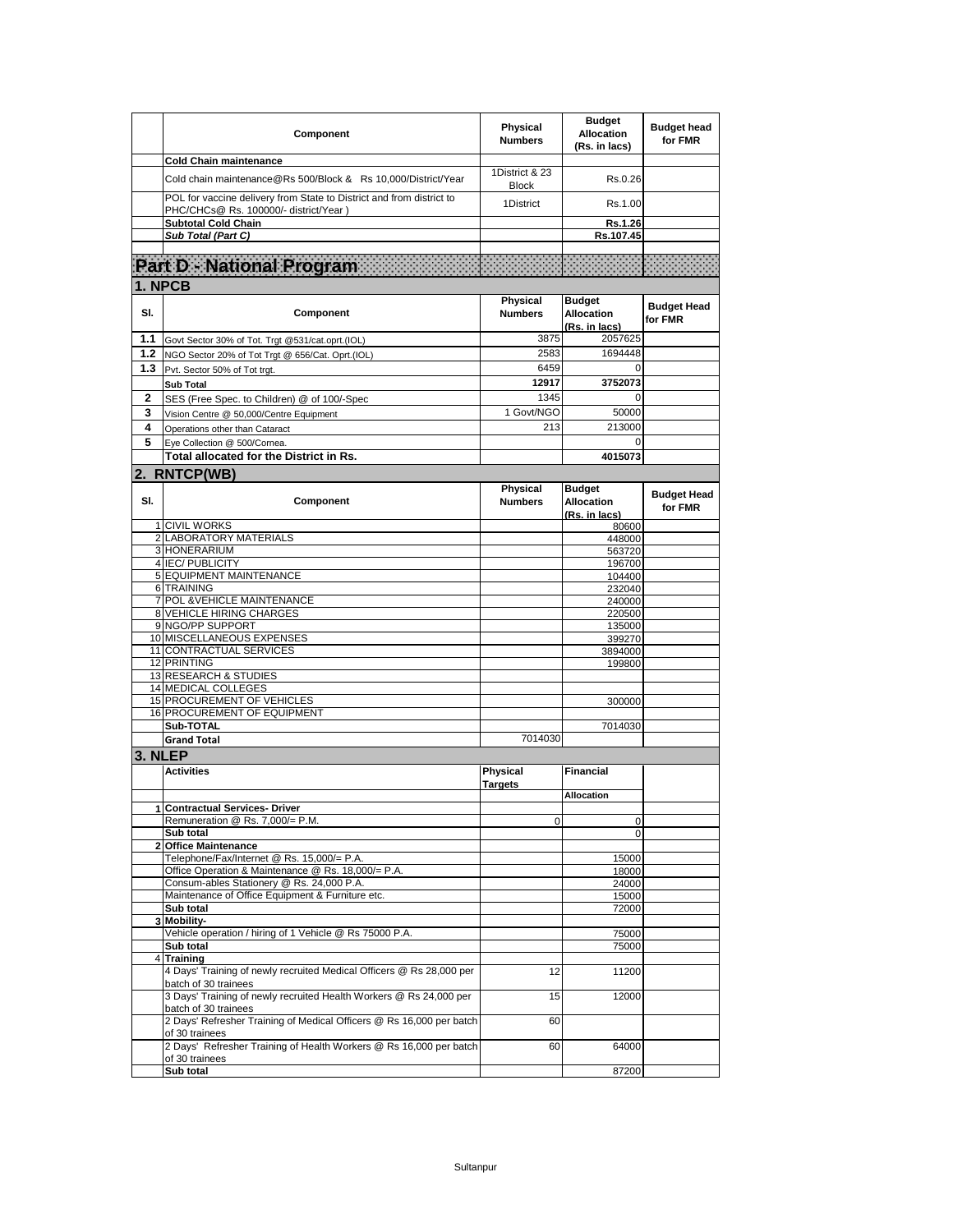|              | Component                                                                                                                                                          | Physical<br><b>Numbers</b>     | <b>Budget</b><br><b>Allocation</b><br>(Rs. in lacs) | <b>Budget head</b><br>for FMR |
|--------------|--------------------------------------------------------------------------------------------------------------------------------------------------------------------|--------------------------------|-----------------------------------------------------|-------------------------------|
|              | <b>Cold Chain maintenance</b>                                                                                                                                      |                                |                                                     |                               |
|              | Cold chain maintenance@Rs 500/Block & Rs 10,000/District/Year                                                                                                      | 1District & 23<br><b>Block</b> | Rs.0.26                                             |                               |
|              | POL for vaccine delivery from State to District and from district to<br>PHC/CHCs@ Rs. 100000/- district/Year )                                                     | 1District                      | Rs.1.00                                             |                               |
|              | <b>Subtotal Cold Chain</b><br>Sub Total (Part C)                                                                                                                   |                                | Rs.1.26<br>Rs.107.45                                |                               |
|              |                                                                                                                                                                    |                                |                                                     |                               |
|              |                                                                                                                                                                    |                                |                                                     |                               |
|              | 1. NPCB                                                                                                                                                            |                                |                                                     |                               |
| SI.          | Component                                                                                                                                                          | Physical<br><b>Numbers</b>     | <b>Budget</b><br><b>Allocation</b><br>(Rs. in lacs) | <b>Budget Head</b><br>for FMR |
| 1.1          | Govt Sector 30% of Tot. Trgt @531/cat.oprt.(IOL)                                                                                                                   | 3875                           | 2057625                                             |                               |
| 1.2          | NGO Sector 20% of Tot Trgt @ 656/Cat. Oprt.(IOL)                                                                                                                   | 2583                           | 1694448                                             |                               |
| 1.3          | Pvt. Sector 50% of Tot trgt.                                                                                                                                       | 6459                           | $\Omega$                                            |                               |
|              | <b>Sub Total</b>                                                                                                                                                   | 12917                          | 3752073                                             |                               |
| 2            | SES (Free Spec. to Children) @ of 100/-Spec                                                                                                                        | 1345                           |                                                     |                               |
| 3            | Vision Centre @ 50,000/Centre Equipment                                                                                                                            | 1 Govt/NGO                     | 50000                                               |                               |
| 4            | Operations other than Cataract                                                                                                                                     | 213                            | 213000                                              |                               |
| 5            | Eye Collection @ 500/Cornea.                                                                                                                                       |                                | 0                                                   |                               |
|              | Total allocated for the District in Rs.                                                                                                                            |                                | 4015073                                             |                               |
|              | 2. RNTCP(WB)                                                                                                                                                       |                                |                                                     |                               |
|              |                                                                                                                                                                    |                                |                                                     |                               |
| SI.          | Component                                                                                                                                                          | Physical<br><b>Numbers</b>     | <b>Budget</b><br><b>Allocation</b><br>(Rs. in lacs) | <b>Budget Head</b><br>for FMR |
|              | 1 CIVIL WORKS<br>2 LABORATORY MATERIALS                                                                                                                            |                                | 80600                                               |                               |
|              | 3 HONERARIUM                                                                                                                                                       |                                | 448000<br>563720                                    |                               |
|              | 4 IEC/ PUBLICITY                                                                                                                                                   |                                | 196700                                              |                               |
|              | 5 EQUIPMENT MAINTENANCE                                                                                                                                            |                                | 104400                                              |                               |
|              | 6 TRAINING                                                                                                                                                         |                                | 232040                                              |                               |
|              | 7 POL & VEHICLE MAINTENANCE                                                                                                                                        |                                | 240000                                              |                               |
|              | 8 VEHICLE HIRING CHARGES                                                                                                                                           |                                | 220500                                              |                               |
|              | 9 NGO/PP SUPPORT                                                                                                                                                   |                                | 135000                                              |                               |
|              | 10 MISCELLANEOUS EXPENSES                                                                                                                                          |                                | 399270                                              |                               |
|              | 11 CONTRACTUAL SERVICES                                                                                                                                            |                                | 3894000                                             |                               |
|              | 12 PRINTING                                                                                                                                                        |                                | 199800                                              |                               |
|              | 13 RESEARCH & STUDIES<br>14 MEDICAL COLLEGES                                                                                                                       |                                |                                                     |                               |
|              | 15 PROCUREMENT OF VEHICLES                                                                                                                                         |                                | 300000                                              |                               |
|              | 16 PROCUREMENT OF EQUIPMENT                                                                                                                                        |                                |                                                     |                               |
|              | Sub-TOTAL                                                                                                                                                          |                                | 7014030                                             |                               |
|              | <b>Grand Total</b>                                                                                                                                                 | 7014030                        |                                                     |                               |
| 3. NLEP      |                                                                                                                                                                    |                                |                                                     |                               |
|              | <b>Activities</b>                                                                                                                                                  | <b>Physical</b>                | <b>Financial</b>                                    |                               |
|              |                                                                                                                                                                    | <b>Targets</b>                 |                                                     |                               |
|              |                                                                                                                                                                    |                                | <b>Allocation</b>                                   |                               |
|              | Contractual Services- Driver                                                                                                                                       |                                |                                                     |                               |
|              | Remuneration @ Rs. 7,000/= P.M.                                                                                                                                    | 0                              | 0                                                   |                               |
|              | Sub total                                                                                                                                                          |                                | 0                                                   |                               |
| $\mathbf{2}$ | <b>Office Maintenance</b>                                                                                                                                          |                                |                                                     |                               |
|              | Telephone/Fax/Internet @ Rs. 15,000/= P.A.                                                                                                                         |                                | 15000                                               |                               |
|              | Office Operation & Maintenance @ Rs. 18,000/= P.A.<br>Consum-ables Stationery @ Rs. 24,000 P.A.                                                                    |                                | 18000<br>24000                                      |                               |
|              | Maintenance of Office Equipment & Furniture etc.                                                                                                                   |                                | 15000                                               |                               |
|              | Sub total                                                                                                                                                          |                                | 72000                                               |                               |
| 3            | Mobility-                                                                                                                                                          |                                |                                                     |                               |
|              | Vehicle operation / hiring of 1 Vehicle @ Rs 75000 P.A.                                                                                                            |                                | 75000                                               |                               |
|              | Sub total                                                                                                                                                          |                                | 75000                                               |                               |
| 4            | <b>Training</b>                                                                                                                                                    |                                |                                                     |                               |
|              | 4 Days' Training of newly recruited Medical Officers @ Rs 28,000 per<br>batch of 30 trainees<br>3 Days' Training of newly recruited Health Workers @ Rs 24,000 per | 12                             | 11200<br>12000                                      |                               |
|              | batch of 30 trainees                                                                                                                                               | 15                             |                                                     |                               |
|              | 2 Days' Refresher Training of Medical Officers @ Rs 16,000 per batch<br>of 30 trainees                                                                             | 60                             | 64000                                               |                               |
|              | 2 Days' Refresher Training of Health Workers @ Rs 16,000 per batch<br>of 30 trainees<br>Sub total                                                                  | 60                             | 87200                                               |                               |
|              |                                                                                                                                                                    |                                |                                                     |                               |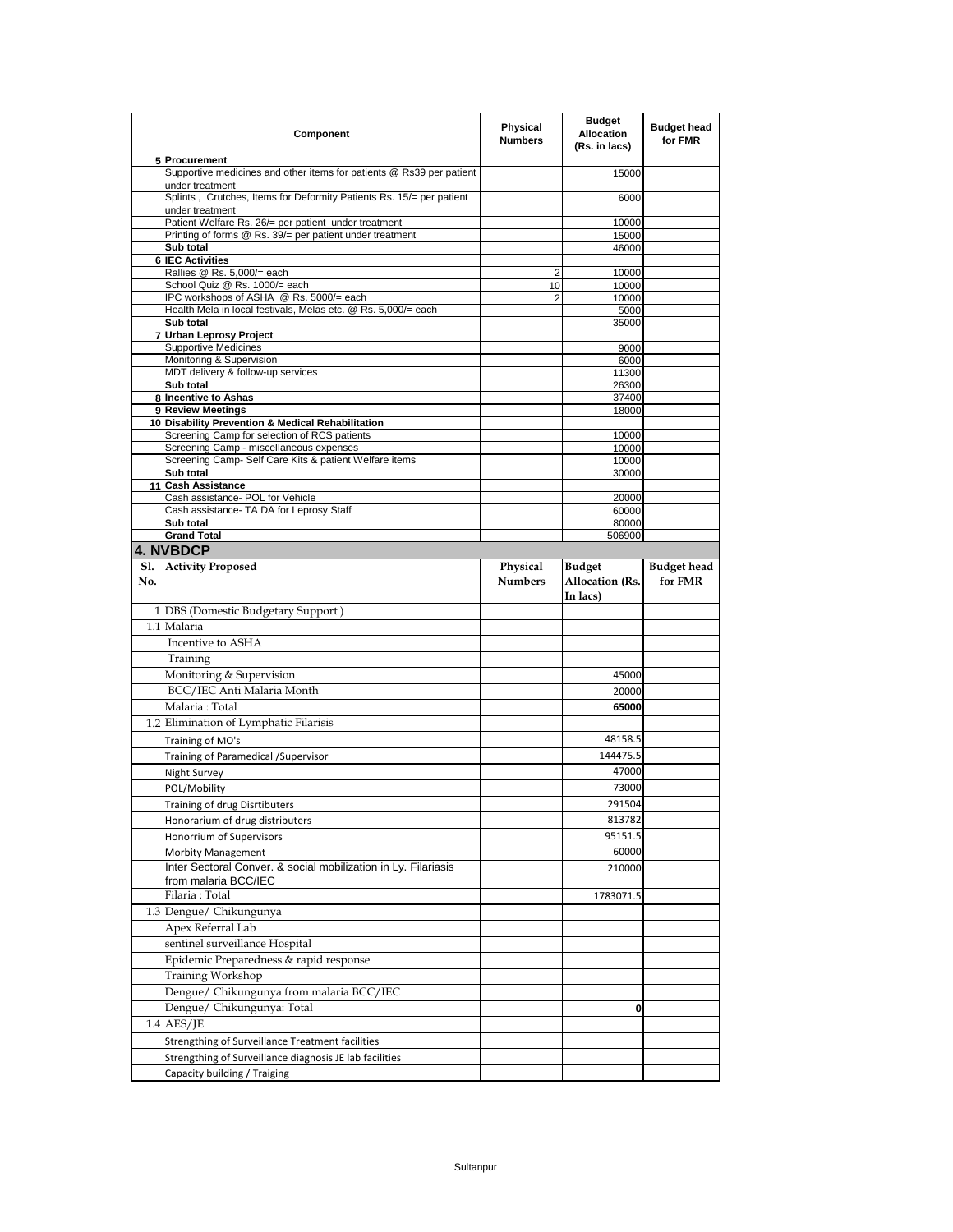|     | Component                                                                                                        | Physical<br><b>Numbers</b> | <b>Budget</b><br><b>Allocation</b><br>(Rs. in lacs) | <b>Budget head</b><br>for FMR |
|-----|------------------------------------------------------------------------------------------------------------------|----------------------------|-----------------------------------------------------|-------------------------------|
|     | 5 Procurement                                                                                                    |                            |                                                     |                               |
|     | Supportive medicines and other items for patients @ Rs39 per patient                                             |                            | 15000                                               |                               |
|     | under treatment<br>Splints, Crutches, Items for Deformity Patients Rs. 15/= per patient                          |                            | 6000                                                |                               |
|     | under treatment                                                                                                  |                            |                                                     |                               |
|     | Patient Welfare Rs. 26/= per patient under treatment<br>Printing of forms @ Rs. 39/= per patient under treatment |                            | 10000<br>15000                                      |                               |
|     | Sub total                                                                                                        |                            | 46000                                               |                               |
|     | <b>6 IEC Activities</b>                                                                                          |                            |                                                     |                               |
|     | Rallies @ Rs. 5,000/= each                                                                                       | 2                          | 10000                                               |                               |
|     | School Quiz @ Rs. 1000/= each                                                                                    | 10                         | 10000                                               |                               |
|     | IPC workshops of ASHA @ Rs. 5000/= each                                                                          | 2                          | 10000                                               |                               |
|     | Health Mela in local festivals, Melas etc. @ Rs. 5,000/= each<br>Sub total                                       |                            | 5000<br>35000                                       |                               |
|     | 7 Urban Leprosy Project                                                                                          |                            |                                                     |                               |
|     | <b>Supportive Medicines</b>                                                                                      |                            | 9000                                                |                               |
|     | Monitoring & Supervision                                                                                         |                            | 6000                                                |                               |
|     | MDT delivery & follow-up services                                                                                |                            | 11300                                               |                               |
|     | Sub total<br>8 Incentive to Ashas                                                                                |                            | 26300<br>37400                                      |                               |
|     | 9 Review Meetings                                                                                                |                            | 18000                                               |                               |
|     | 10 Disability Prevention & Medical Rehabilitation                                                                |                            |                                                     |                               |
|     | Screening Camp for selection of RCS patients                                                                     |                            | 10000                                               |                               |
|     | Screening Camp - miscellaneous expenses                                                                          |                            | 10000                                               |                               |
|     | Screening Camp- Self Care Kits & patient Welfare items<br>Sub total                                              |                            | 10000<br>30000                                      |                               |
|     | 11 Cash Assistance                                                                                               |                            |                                                     |                               |
|     | Cash assistance- POL for Vehicle                                                                                 |                            | 20000                                               |                               |
|     | Cash assistance- TA DA for Leprosy Staff                                                                         |                            | 60000                                               |                               |
|     | Sub total                                                                                                        |                            | 80000                                               |                               |
|     | <b>Grand Total</b>                                                                                               |                            | 506900                                              |                               |
|     | <b>4. NVBDCP</b>                                                                                                 |                            |                                                     |                               |
|     | Sl. Activity Proposed                                                                                            | Physical                   | <b>Budget</b>                                       | <b>Budget</b> head            |
| No. |                                                                                                                  | <b>Numbers</b>             | <b>Allocation</b> (Rs.                              | for FMR                       |
|     |                                                                                                                  |                            | In lacs)                                            |                               |
|     | 1 DBS (Domestic Budgetary Support)                                                                               |                            |                                                     |                               |
|     |                                                                                                                  |                            |                                                     |                               |
|     | 1.1 Malaria                                                                                                      |                            |                                                     |                               |
|     | Incentive to ASHA                                                                                                |                            |                                                     |                               |
|     | Training                                                                                                         |                            |                                                     |                               |
|     | Monitoring & Supervision                                                                                         |                            | 45000                                               |                               |
|     | BCC/IEC Anti Malaria Month                                                                                       |                            | 20000                                               |                               |
|     | Malaria: Total                                                                                                   |                            | 65000                                               |                               |
|     | 1.2 Elimination of Lymphatic Filarisis                                                                           |                            |                                                     |                               |
|     | Training of MO's                                                                                                 |                            | 48158.5                                             |                               |
|     |                                                                                                                  |                            | 144475.5                                            |                               |
|     | Training of Paramedical / Supervisor                                                                             |                            | 47000                                               |                               |
|     | Night Survey                                                                                                     |                            |                                                     |                               |
|     | POL/Mobility                                                                                                     |                            | 73000                                               |                               |
|     | Training of drug Disrtibuters                                                                                    |                            | 291504                                              |                               |
|     | Honorarium of drug distributers                                                                                  |                            | 813782                                              |                               |
|     | Honorrium of Supervisors                                                                                         |                            | 95151.5                                             |                               |
|     | Morbity Management                                                                                               |                            | 60000                                               |                               |
|     | Inter Sectoral Conver. & social mobilization in Ly. Filariasis                                                   |                            | 210000                                              |                               |
|     | from malaria BCC/IEC                                                                                             |                            |                                                     |                               |
|     | Filaria: Total                                                                                                   |                            | 1783071.5                                           |                               |
|     | 1.3 Dengue/ Chikungunya                                                                                          |                            |                                                     |                               |
|     | Apex Referral Lab                                                                                                |                            |                                                     |                               |
|     | sentinel surveillance Hospital                                                                                   |                            |                                                     |                               |
|     | Epidemic Preparedness & rapid response                                                                           |                            |                                                     |                               |
|     | Training Workshop                                                                                                |                            |                                                     |                               |
|     | Dengue/ Chikungunya from malaria BCC/IEC                                                                         |                            |                                                     |                               |
|     | Dengue/ Chikungunya: Total                                                                                       |                            | 0                                                   |                               |
|     | $1.4$ AES/JE                                                                                                     |                            |                                                     |                               |
|     | Strengthing of Surveillance Treatment facilities                                                                 |                            |                                                     |                               |
|     | Strengthing of Surveillance diagnosis JE lab facilities                                                          |                            |                                                     |                               |